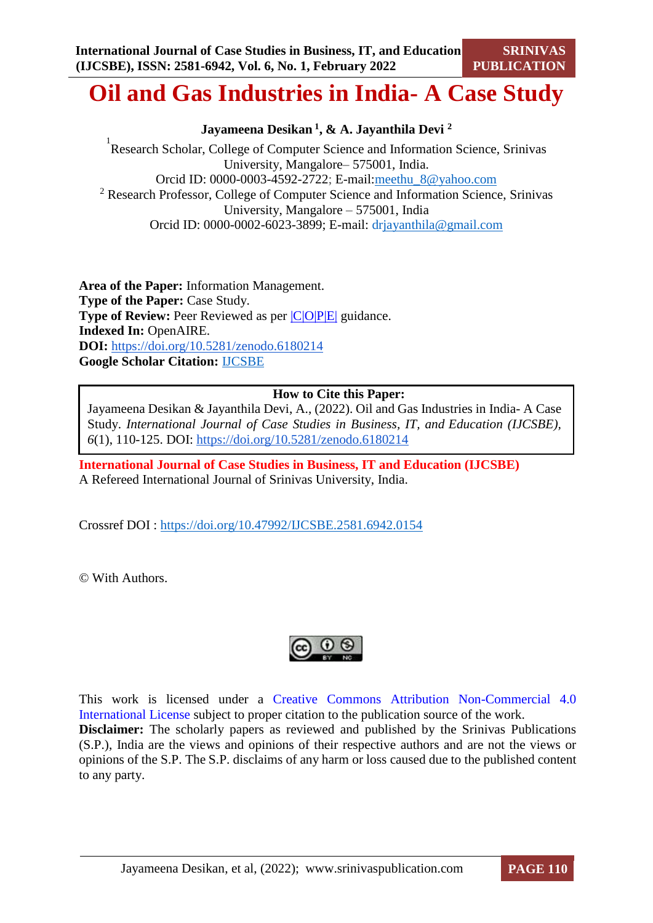# **Oil and Gas Industries in India- A Case Study**

**Jayameena Desikan <sup>1</sup> , & A. Jayanthila Devi <sup>2</sup>**

<sup>1</sup> Research Scholar, College of Computer Science and Information Science, Srinivas University, Mangalore– 575001, India. Orcid ID: 0000-0003-4592-2722; E-mail[:meethu\\_8@yahoo.com](mailto:meethu_8@yahoo.com) <sup>2</sup> Research Professor, College of Computer Science and Information Science, Srinivas University, Mangalore – 575001, India Orcid ID: 0000-0002-6023-3899; E-mail: d[rjayanthila@gmail.com](mailto:jayanthila@gmail.com)

**Area of the Paper:** Information Management. **Type of the Paper:** Case Study. **Type of Review:** Peer Reviewed as per  $|C|O||P|E|$  guidance. **Indexed In:** OpenAIRE. **DOI:** <https://doi.org/10.5281/zenodo.6180214> **Google Scholar Citation:** [IJCSBE](https://scholar.google.com/citations?user=yGYPA1MAAAAJ)

#### **How to Cite this Paper:**

Jayameena Desikan & Jayanthila Devi, A., (2022). Oil and Gas Industries in India- A Case Study. *International Journal of Case Studies in Business, IT, and Education (IJCSBE), 6*(1), 110-125. DOI:<https://doi.org/10.5281/zenodo.6180214>

**International Journal of Case Studies in Business, IT and Education (IJCSBE)** A Refereed International Journal of Srinivas University, India.

Crossref DOI : [https://doi.org/10.47992/IJCSBE.2581.6942.0154](https://search.crossref.org/?q=10.47992%2FIJCSBE.2581.6942.0154&from_ui=yes)

© With Authors.



This work is licensed under a Creative Commons Attribution Non-Commercial 4.0 International License subject to proper citation to the publication source of the work. **Disclaimer:** The scholarly papers as reviewed and published by the Srinivas Publications (S.P.), India are the views and opinions of their respective authors and are not the views or opinions of the S.P. The S.P. disclaims of any harm or loss caused due to the published content to any party.

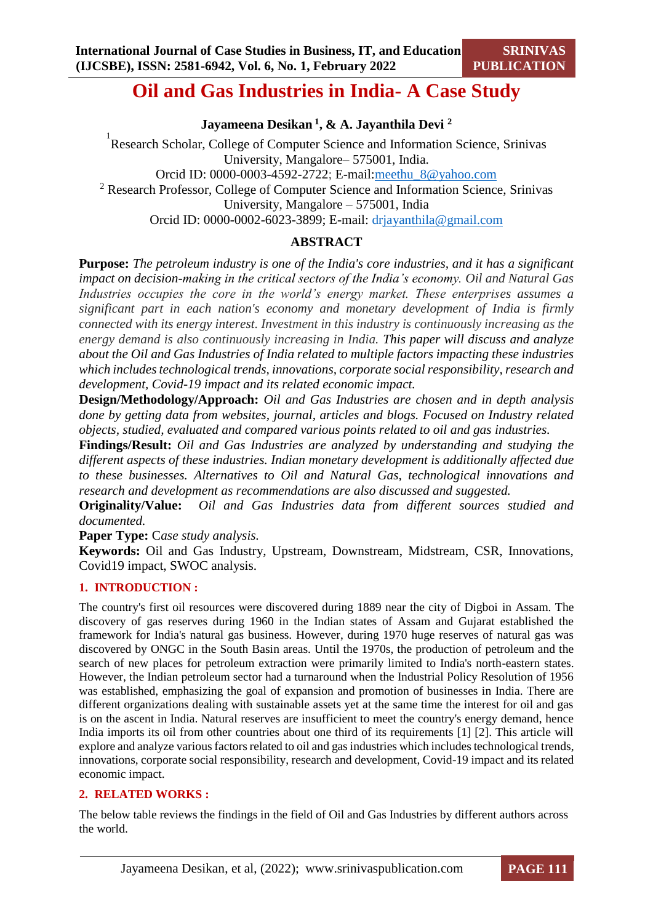## **Oil and Gas Industries in India- A Case Study**

**Jayameena Desikan <sup>1</sup> , & A. Jayanthila Devi <sup>2</sup>**

<sup>1</sup> Research Scholar, College of Computer Science and Information Science, Srinivas University, Mangalore– 575001, India. Orcid ID: 0000-0003-4592-2722; E-mail[:meethu\\_8@yahoo.com](mailto:meethu_8@yahoo.com) <sup>2</sup> Research Professor, College of Computer Science and Information Science, Srinivas University, Mangalore – 575001, India Orcid ID: 0000-0002-6023-3899; E-mail: d[rjayanthila@gmail.com](mailto:jayanthila@gmail.com)

## **ABSTRACT**

**Purpose:** *The petroleum industry is one of the India's core industries, and it has a significant impact on decision-making in the critical sectors of the India's economy. Oil and Natural Gas Industries occupies the core in the world's energy market. These enterprises assumes a significant part in each nation's economy and monetary development of India is firmly connected with its energy interest. Investment in this industry is continuously increasing as the energy demand is also continuously increasing in India. This paper will discuss and analyze about the Oil and Gas Industries of India related to multiple factors impacting these industries which includes technological trends, innovations, corporate social responsibility, research and development, Covid-19 impact and its related economic impact.*

**Design/Methodology/Approach:** *Oil and Gas Industries are chosen and in depth analysis done by getting data from websites, journal, articles and blogs. Focused on Industry related objects, studied, evaluated and compared various points related to oil and gas industries.*

**Findings/Result:** *Oil and Gas Industries are analyzed by understanding and studying the different aspects of these industries. Indian monetary development is additionally affected due to these businesses. Alternatives to Oil and Natural Gas, technological innovations and research and development as recommendations are also discussed and suggested.*

**Originality/Value:** *Oil and Gas Industries data from different sources studied and documented.* 

**Paper Type:** C*ase study analysis.*

**Keywords:** Oil and Gas Industry, Upstream, Downstream, Midstream, CSR, Innovations, Covid19 impact, SWOC analysis.

#### **1. INTRODUCTION :**

The country's first oil resources were discovered during 1889 near the city of Digboi in Assam. The discovery of gas reserves during 1960 in the Indian states of Assam and Gujarat established the framework for India's natural gas business. However, during 1970 huge reserves of natural gas was discovered by ONGC in the South Basin areas. Until the 1970s, the production of petroleum and the search of new places for petroleum extraction were primarily limited to India's north-eastern states. However, the Indian petroleum sector had a turnaround when the Industrial Policy Resolution of 1956 was established, emphasizing the goal of expansion and promotion of businesses in India. There are different organizations dealing with sustainable assets yet at the same time the interest for oil and gas is on the ascent in India. Natural reserves are insufficient to meet the country's energy demand, hence India imports its oil from other countries about one third of its requirements [1] [2]. This article will explore and analyze various factors related to oil and gas industries which includes technological trends, innovations, corporate social responsibility, research and development, Covid-19 impact and its related economic impact.

#### **2. RELATED WORKS :**

The below table reviews the findings in the field of Oil and Gas Industries by different authors across the world.

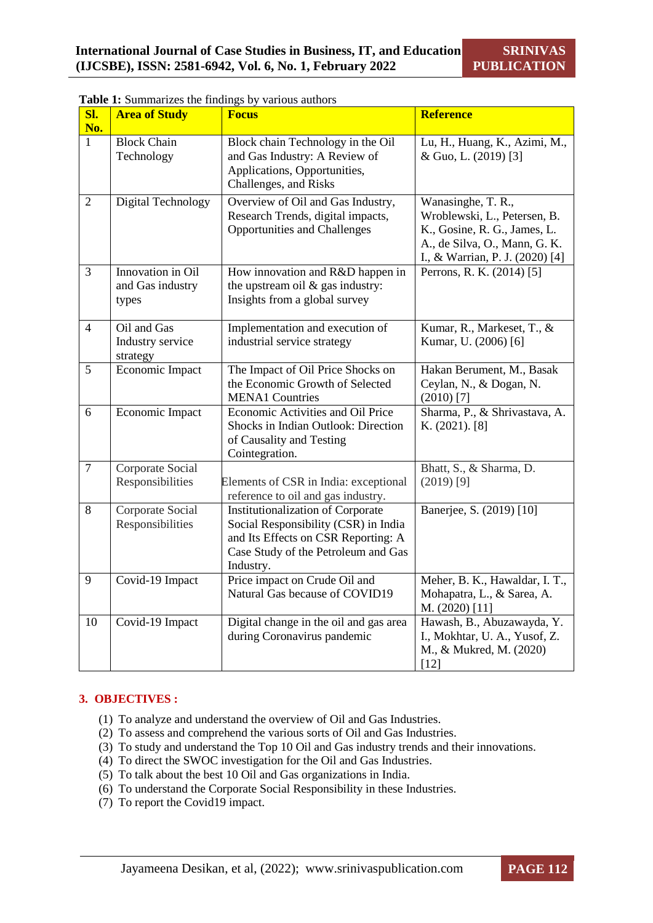| SI.<br>No.     | <b>Area of Study</b>                           | <b>Focus</b>                                                                                                                                                         | <b>Reference</b>                                                                                                                                       |
|----------------|------------------------------------------------|----------------------------------------------------------------------------------------------------------------------------------------------------------------------|--------------------------------------------------------------------------------------------------------------------------------------------------------|
| $\mathbf{1}$   | <b>Block Chain</b><br>Technology               | Block chain Technology in the Oil<br>and Gas Industry: A Review of<br>Applications, Opportunities,<br>Challenges, and Risks                                          | Lu, H., Huang, K., Azimi, M.,<br>& Guo, L. (2019) [3]                                                                                                  |
| $\overline{2}$ | Digital Technology                             | Overview of Oil and Gas Industry,<br>Research Trends, digital impacts,<br><b>Opportunities and Challenges</b>                                                        | Wanasinghe, T. R.,<br>Wroblewski, L., Petersen, B.<br>K., Gosine, R. G., James, L.<br>A., de Silva, O., Mann, G. K.<br>I., & Warrian, P. J. (2020) [4] |
| 3              | Innovation in Oil<br>and Gas industry<br>types | How innovation and R&D happen in<br>the upstream oil $\&$ gas industry:<br>Insights from a global survey                                                             | Perrons, R. K. (2014) [5]                                                                                                                              |
| $\overline{4}$ | Oil and Gas<br>Industry service<br>strategy    | Implementation and execution of<br>industrial service strategy                                                                                                       | Kumar, R., Markeset, T., &<br>Kumar, U. (2006) [6]                                                                                                     |
| $\overline{5}$ | Economic Impact                                | The Impact of Oil Price Shocks on<br>the Economic Growth of Selected<br><b>MENA1 Countries</b>                                                                       | Hakan Berument, M., Basak<br>Ceylan, N., & Dogan, N.<br>$(2010)$ <sup>[7]</sup>                                                                        |
| 6              | Economic Impact                                | Economic Activities and Oil Price<br>Shocks in Indian Outlook: Direction<br>of Causality and Testing<br>Cointegration.                                               | Sharma, P., & Shrivastava, A.<br>K. (2021). [8]                                                                                                        |
| $\overline{7}$ | Corporate Social<br>Responsibilities           | Elements of CSR in India: exceptional<br>reference to oil and gas industry.                                                                                          | Bhatt, S., & Sharma, D.<br>$(2019)$ [9]                                                                                                                |
| 8              | Corporate Social<br>Responsibilities           | Institutionalization of Corporate<br>Social Responsibility (CSR) in India<br>and Its Effects on CSR Reporting: A<br>Case Study of the Petroleum and Gas<br>Industry. | Banerjee, S. (2019) [10]                                                                                                                               |
| 9              | Covid-19 Impact                                | Price impact on Crude Oil and<br>Natural Gas because of COVID19                                                                                                      | Meher, B. K., Hawaldar, I. T.,<br>Mohapatra, L., & Sarea, A.<br>M. (2020) [11]                                                                         |
| 10             | Covid-19 Impact                                | Digital change in the oil and gas area<br>during Coronavirus pandemic                                                                                                | Hawash, B., Abuzawayda, Y.<br>I., Mokhtar, U. A., Yusof, Z.<br>M., & Mukred, M. (2020)<br>$[12]$                                                       |

| Table 1: Summarizes the findings by various authors |  |  |
|-----------------------------------------------------|--|--|
|                                                     |  |  |

## **3. OBJECTIVES :**

- (1) To analyze and understand the overview of Oil and Gas Industries.
- (2) To assess and comprehend the various sorts of Oil and Gas Industries.
- (3) To study and understand the Top 10 Oil and Gas industry trends and their innovations.
- (4) To direct the SWOC investigation for the Oil and Gas Industries.
- (5) To talk about the best 10 Oil and Gas organizations in India.
- (6) To understand the Corporate Social Responsibility in these Industries.
- (7) To report the Covid19 impact.

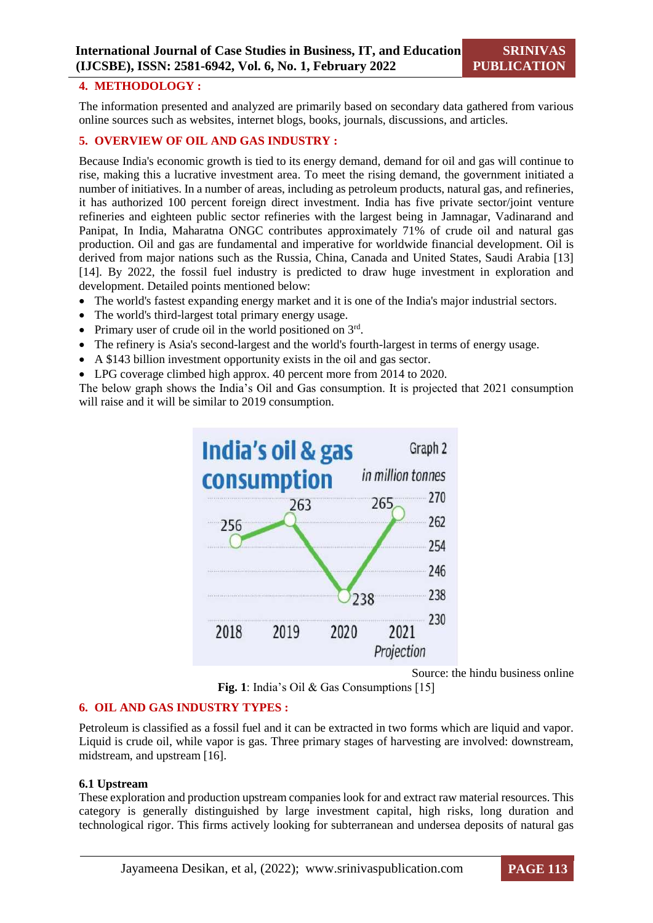#### **4. METHODOLOGY :**

The information presented and analyzed are primarily based on secondary data gathered from various online sources such as websites, internet blogs, books, journals, discussions, and articles.

## **5. OVERVIEW OF OIL AND GAS INDUSTRY :**

Because India's economic growth is tied to its energy demand, demand for oil and gas will continue to rise, making this a lucrative investment area. To meet the rising demand, the government initiated a number of initiatives. In a number of areas, including as petroleum products, natural gas, and refineries, it has authorized 100 percent foreign direct investment. India has five private sector/joint venture refineries and eighteen public sector refineries with the largest being in Jamnagar, Vadinarand and Panipat, In India, Maharatna ONGC contributes approximately 71% of crude oil and natural gas production. Oil and gas are fundamental and imperative for worldwide financial development. Oil is derived from major nations such as the Russia, China, Canada and United States, Saudi Arabia [13] [14]. By 2022, the fossil fuel industry is predicted to draw huge investment in exploration and development. Detailed points mentioned below:

- The world's fastest expanding energy market and it is one of the India's major industrial sectors.
- The world's third-largest total primary energy usage.
- Primary user of crude oil in the world positioned on  $3<sup>rd</sup>$ .
- The refinery is Asia's second-largest and the world's fourth-largest in terms of energy usage.
- A \$143 billion investment opportunity exists in the oil and gas sector.
- LPG coverage climbed high approx. 40 percent more from 2014 to 2020.

The below graph shows the India's Oil and Gas consumption. It is projected that 2021 consumption will raise and it will be similar to 2019 consumption.



Source: the hindu business online **Fig. 1**: India's Oil & Gas Consumptions [15]

#### **6. OIL AND GAS INDUSTRY TYPES :**

Petroleum is classified as a fossil fuel and it can be extracted in two forms which are liquid and vapor. Liquid is crude oil, while vapor is gas. Three primary stages of harvesting are involved: downstream, midstream, and upstream [16].

#### **6.1 Upstream**

These exploration and production upstream companies look for and extract raw material resources. This category is generally distinguished by large investment capital, high risks, long duration and technological rigor. This firms actively looking for subterranean and undersea deposits of natural gas

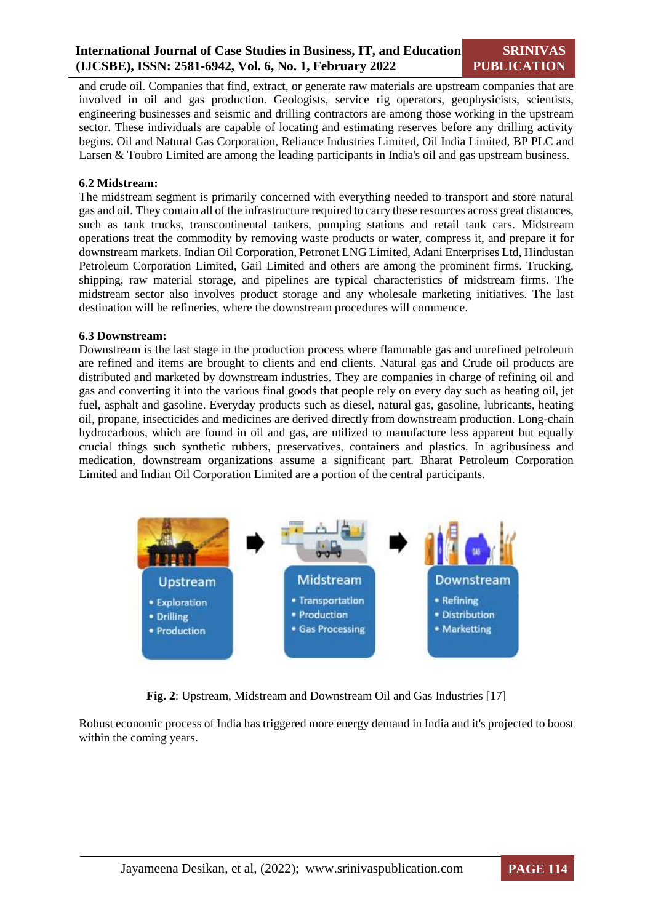**SRINIVAS PUBLICATION**

and crude oil. Companies that find, extract, or generate raw materials are upstream companies that are involved in oil and gas production. Geologists, service rig operators, geophysicists, scientists, engineering businesses and seismic and drilling contractors are among those working in the upstream sector. These individuals are capable of locating and estimating reserves before any drilling activity begins. Oil and Natural Gas Corporation, Reliance Industries Limited, Oil India Limited, BP PLC and Larsen & Toubro Limited are among the leading participants in India's oil and gas upstream business.

#### **6.2 Midstream:**

The midstream segment is primarily concerned with everything needed to transport and store natural gas and oil. They contain all of the infrastructure required to carry these resources across great distances, such as tank trucks, transcontinental tankers, pumping stations and retail tank cars. Midstream operations treat the commodity by removing waste products or water, compress it, and prepare it for downstream markets. Indian Oil Corporation, Petronet LNG Limited, Adani Enterprises Ltd, Hindustan Petroleum Corporation Limited, Gail Limited and others are among the prominent firms. Trucking, shipping, raw material storage, and pipelines are typical characteristics of midstream firms. The midstream sector also involves product storage and any wholesale marketing initiatives. The last destination will be refineries, where the downstream procedures will commence.

#### **6.3 Downstream:**

Downstream is the last stage in the production process where flammable gas and unrefined petroleum are refined and items are brought to clients and end clients. Natural gas and Crude oil products are distributed and marketed by downstream industries. They are companies in charge of refining oil and gas and converting it into the various final goods that people rely on every day such as heating oil, jet fuel, asphalt and gasoline. Everyday products such as diesel, natural gas, gasoline, lubricants, heating oil, propane, insecticides and medicines are derived directly from downstream production. Long-chain hydrocarbons, which are found in oil and gas, are utilized to manufacture less apparent but equally crucial things such synthetic rubbers, preservatives, containers and plastics. In agribusiness and medication, downstream organizations assume a significant part. Bharat Petroleum Corporation Limited and Indian Oil Corporation Limited are a portion of the central participants.



**Fig. 2**: Upstream, Midstream and Downstream Oil and Gas Industries [17]

Robust economic process of India has triggered more energy demand in India and it's projected to boost within the coming years.

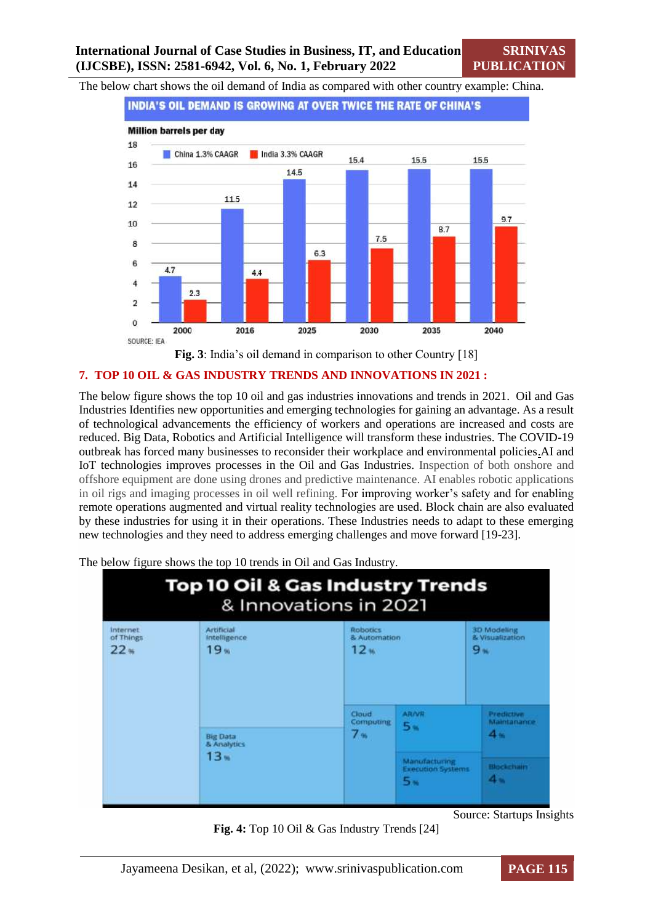The below chart shows the oil demand of India as compared with other country example: China.



**Fig. 3**: India's oil demand in comparison to other Country [18]

#### **7. TOP 10 OIL & GAS INDUSTRY TRENDS AND INNOVATIONS IN 2021 :**

The below figure shows the top 10 oil and gas industries innovations and trends in 2021. Oil and Gas Industries Identifies new opportunities and emerging technologies for gaining an advantage. As a result of technological advancements the efficiency of workers and operations are increased and costs are reduced. Big Data, Robotics and Artificial Intelligence will transform these industries. The COVID-19 outbreak has forced many businesses to reconsider their workplace and environmental policies.AI and IoT technologies improves processes in the Oil and Gas Industries. Inspection of both onshore and offshore equipment are done using drones and predictive maintenance. AI enables robotic applications in oil rigs and imaging processes in oil well refining. For improving worker's safety and for enabling remote operations augmented and virtual reality technologies are used. Block chain are also evaluated by these industries for using it in their operations. These Industries needs to adapt to these emerging new technologies and they need to address emerging challenges and move forward [19-23].

**Top 10 Oil & Gas Industry Trends** & Innovations in 2021 Internet<br>of Things Artificial<br>Intelligence Robotics<br>& Automation **3D Modeling**<br>& Visualization  $19<sub>m</sub>$  $12<sub>w</sub>$  $9<sub>m</sub>$  $22<sub>96</sub>$ Cloud ARAVN Predictive<br>Maintanance Computing  $5<sub>8</sub>$  $4<sub>m</sub>$  $7<sub>m</sub>$ **Big Data**<br>& Analytics  $13<sub>m</sub>$ Manufacturing<br>Execution Syste Blockchain  $4 5<sub>m</sub>$ 

The below figure shows the top 10 trends in Oil and Gas Industry.



Source: Startups Insights

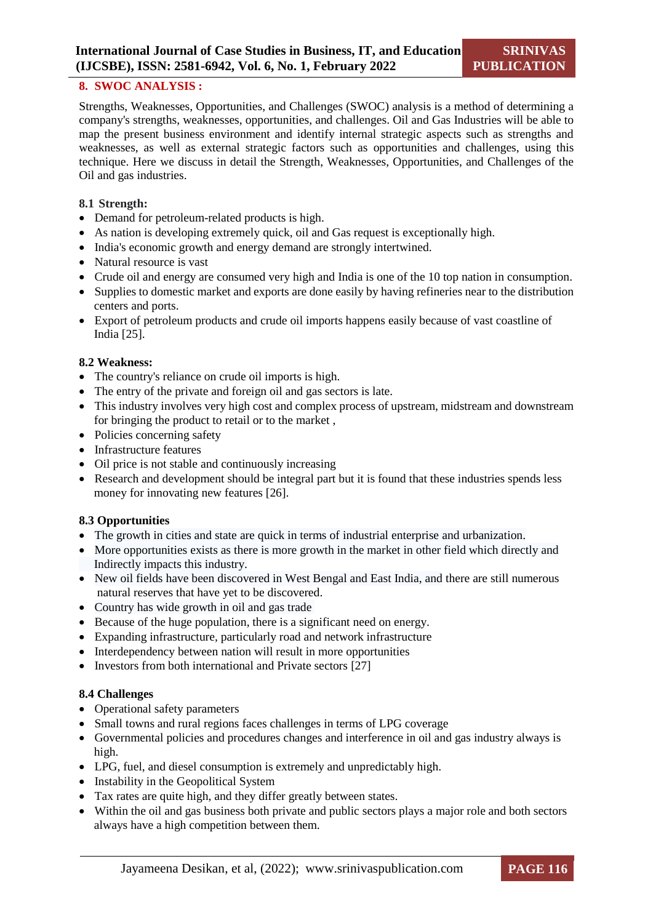#### **8. SWOC ANALYSIS :**

Strengths, Weaknesses, Opportunities, and Challenges (SWOC) analysis is a method of determining a company's strengths, weaknesses, opportunities, and challenges. Oil and Gas Industries will be able to map the present business environment and identify internal strategic aspects such as strengths and weaknesses, as well as external strategic factors such as opportunities and challenges, using this technique. Here we discuss in detail the Strength, Weaknesses, Opportunities, and Challenges of the Oil and gas industries.

#### **8.1 Strength:**

- Demand for petroleum-related products is high.
- As nation is developing extremely quick, oil and Gas request is exceptionally high.
- India's economic growth and energy demand are strongly intertwined.
- Natural resource is vast
- Crude oil and energy are consumed very high and India is one of the 10 top nation in consumption.
- Supplies to domestic market and exports are done easily by having refineries near to the distribution centers and ports.
- Export of petroleum products and crude oil imports happens easily because of vast coastline of India [25].

#### **8.2 Weakness:**

- The country's reliance on crude oil imports is high.
- The entry of the private and foreign oil and gas sectors is late.
- This industry involves very high cost and complex process of upstream, midstream and downstream for bringing the product to retail or to the market ,
- Policies concerning safety
- Infrastructure features
- Oil price is not stable and continuously increasing
- Research and development should be integral part but it is found that these industries spends less money for innovating new features [26].

#### **8.3 Opportunities**

- The growth in cities and state are quick in terms of industrial enterprise and urbanization.
- More opportunities exists as there is more growth in the market in other field which directly and Indirectly impacts this industry.
- New oil fields have been discovered in West Bengal and East India, and there are still numerous natural reserves that have yet to be discovered.
- Country has wide growth in oil and gas trade
- Because of the huge population, there is a significant need on energy.
- Expanding infrastructure, particularly road and network infrastructure
- Interdependency between nation will result in more opportunities
- Investors from both international and Private sectors [27]

#### **8.4 Challenges**

- Operational safety parameters
- Small towns and rural regions faces challenges in terms of LPG coverage
- Governmental policies and procedures changes and interference in oil and gas industry always is high.
- LPG, fuel, and diesel consumption is extremely and unpredictably high.
- Instability in the Geopolitical System
- Tax rates are quite high, and they differ greatly between states.
- Within the oil and gas business both private and public sectors plays a major role and both sectors always have a high competition between them.

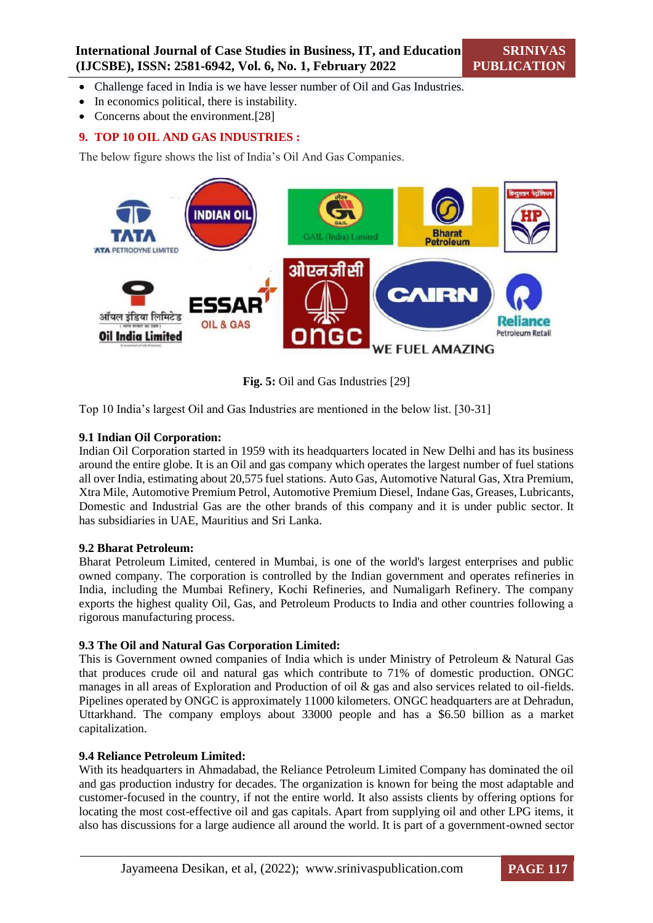- Challenge faced in India is we have lesser number of Oil and Gas Industries.
- In economics political, there is instability.
- Concerns about the environment.[28]

#### **9. TOP 10 OIL AND GAS INDUSTRIES :**

The below figure shows the list of India's Oil And Gas Companies.



**Fig. 5:** Oil and Gas Industries [29]

Top 10 India's largest Oil and Gas Industries are mentioned in the below list. [30-31]

#### **9.1 Indian Oil Corporation:**

Indian Oil Corporation started in 1959 with its headquarters located in New Delhi and has its business around the entire globe. It is an Oil and gas company which operates the largest number of fuel stations all over India, estimating about 20,575 fuel stations. Auto Gas, Automotive Natural Gas, Xtra Premium, Xtra Mile, Automotive Premium Petrol, Automotive Premium Diesel, Indane Gas, Greases, Lubricants, Domestic and Industrial Gas are the other brands of this company and it is under public sector. It has subsidiaries in UAE, Mauritius and Sri Lanka.

#### **9.2 Bharat Petroleum:**

Bharat Petroleum Limited, centered in Mumbai, is one of the world's largest enterprises and public owned company. The corporation is controlled by the Indian government and operates refineries in India, including the Mumbai Refinery, Kochi Refineries, and Numaligarh Refinery. The company exports the highest quality Oil, Gas, and Petroleum Products to India and other countries following a rigorous manufacturing process.

#### **9.3 The Oil and Natural Gas Corporation Limited:**

This is Government owned companies of India which is under Ministry of Petroleum & Natural Gas that produces crude oil and natural gas which contribute to 71% of domestic production. ONGC manages in all areas of Exploration and Production of oil & gas and also services related to oil-fields. Pipelines operated by ONGC is approximately 11000 kilometers. ONGC headquarters are at Dehradun, Uttarkhand. The company employs about 33000 people and has a \$6.50 billion as a market capitalization.

#### **9.4 Reliance Petroleum Limited:**

With its headquarters in Ahmadabad, the Reliance Petroleum Limited Company has dominated the oil and gas production industry for decades. The organization is known for being the most adaptable and customer-focused in the country, if not the entire world. It also assists clients by offering options for locating the most cost-effective oil and gas capitals. Apart from supplying oil and other LPG items, it also has discussions for a large audience all around the world. It is part of a government-owned sector

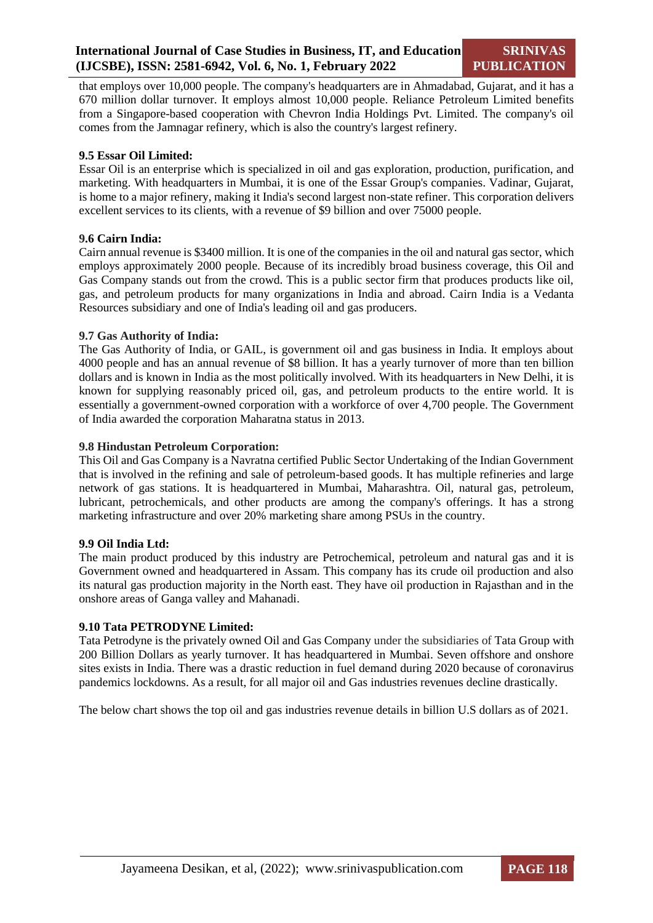that employs over 10,000 people. The company's headquarters are in Ahmadabad, Gujarat, and it has a 670 million dollar turnover. It employs almost 10,000 people. Reliance Petroleum Limited benefits from a Singapore-based cooperation with Chevron India Holdings Pvt. Limited. The company's oil comes from the Jamnagar refinery, which is also the country's largest refinery.

#### **9.5 Essar Oil Limited:**

Essar Oil is an enterprise which is specialized in oil and gas exploration, production, purification, and marketing. With headquarters in Mumbai, it is one of the Essar Group's companies. Vadinar, Gujarat, is home to a major refinery, making it India's second largest non-state refiner. This corporation delivers excellent services to its clients, with a revenue of \$9 billion and over 75000 people.

#### **9.6 Cairn India:**

Cairn annual revenue is \$3400 million. It is one of the companies in the oil and natural gas sector, which employs approximately 2000 people. Because of its incredibly broad business coverage, this Oil and Gas Company stands out from the crowd. This is a public sector firm that produces products like oil, gas, and petroleum products for many organizations in India and abroad. Cairn India is a Vedanta Resources subsidiary and one of India's leading oil and gas producers.

#### **9.7 Gas Authority of India:**

The Gas Authority of India, or GAIL, is government oil and gas business in India. It employs about 4000 people and has an annual revenue of \$8 billion. It has a yearly turnover of more than ten billion dollars and is known in India as the most politically involved. With its headquarters in New Delhi, it is known for supplying reasonably priced oil, gas, and petroleum products to the entire world. It is essentially a government-owned corporation with a workforce of over 4,700 people. The Government of India awarded the corporation Maharatna status in 2013.

#### **9.8 Hindustan Petroleum Corporation:**

This Oil and Gas Company is a Navratna certified Public Sector Undertaking of the Indian Government that is involved in the refining and sale of petroleum-based goods. It has multiple refineries and large network of gas stations. It is headquartered in Mumbai, Maharashtra. Oil, natural gas, petroleum, lubricant, petrochemicals, and other products are among the company's offerings. It has a strong marketing infrastructure and over 20% marketing share among PSUs in the country.

#### **9.9 Oil India Ltd:**

The main product produced by this industry are Petrochemical, petroleum and natural gas and it is Government owned and headquartered in Assam. This company has its crude oil production and also its natural gas production majority in the North east. They have oil production in Rajasthan and in the onshore areas of Ganga valley and Mahanadi.

#### **9.10 Tata PETRODYNE Limited:**

Tata Petrodyne is the privately owned Oil and Gas Company under the subsidiaries of Tata Group with 200 Billion Dollars as yearly turnover. It has headquartered in Mumbai. Seven offshore and onshore sites exists in India. There was a drastic reduction in fuel demand during 2020 because of coronavirus pandemics lockdowns. As a result, for all major oil and Gas industries revenues decline drastically.

The below chart shows the top oil and gas industries revenue details in billion U.S dollars as of 2021.

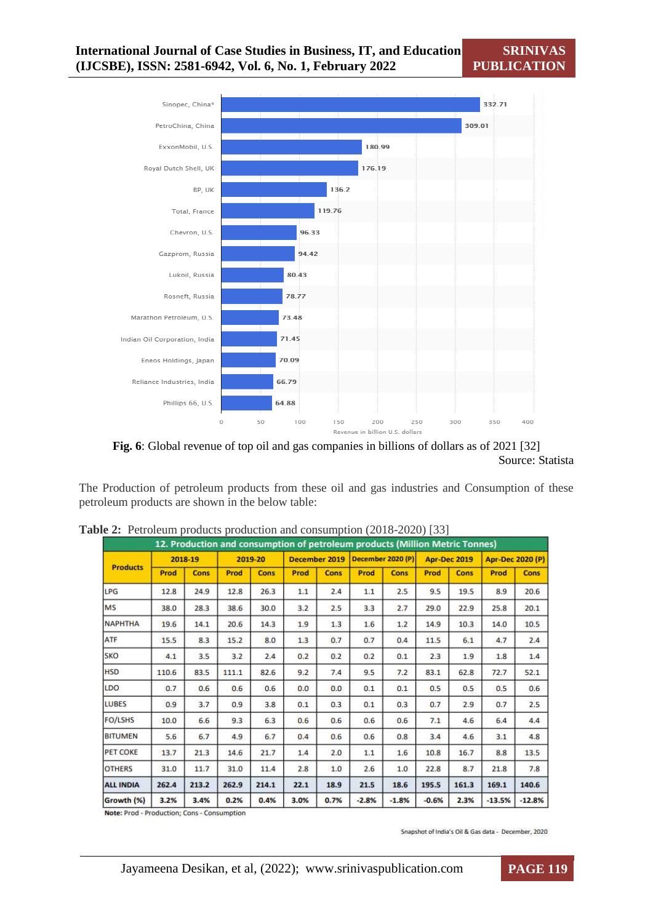



The Production of petroleum products from these oil and gas industries and Consumption of these petroleum products are shown in the below table:

| 12. Production and consumption of petroleum products (Million Metric Tonnes) |         |       |         |             |               |      |                   |             |                     |             |                         |             |
|------------------------------------------------------------------------------|---------|-------|---------|-------------|---------------|------|-------------------|-------------|---------------------|-------------|-------------------------|-------------|
|                                                                              | 2018-19 |       | 2019-20 |             | December 2019 |      | December 2020 (P) |             | <b>Apr-Dec 2019</b> |             | <b>Apr-Dec 2020 (P)</b> |             |
| <b>Products</b>                                                              | Prod    | Cons  | Prod    | <b>Cons</b> | Prod          | Cons | Prod              | <b>Cons</b> | Prod                | <b>Cons</b> | Prod                    | <b>Cons</b> |
| LPG                                                                          | 12.8    | 24.9  | 12.8    | 26.3        | 1.1           | 2.4  | 1.1               | 2.5         | 9.5                 | 19.5        | 8.9                     | 20.6        |
| <b>MS</b>                                                                    | 38.0    | 28.3  | 38.6    | 30.0        | 3.2           | 2.5  | 3.3               | 2.7         | 29.0                | 22.9        | 25.8                    | 20.1        |
| <b>NAPHTHA</b>                                                               | 19.6    | 14.1  | 20.6    | 14.3        | 1.9           | 1.3  | 1.6               | 1.2         | 14.9                | 10.3        | 14.0                    | 10.5        |
| ATF                                                                          | 15.5    | 8.3   | 15.2    | 8.0         | 1.3           | 0.7  | 0.7               | 0.4         | 11.5                | 6.1         | 4.7                     | 2.4         |
| SKO                                                                          | 4.1     | 3.5   | 3.2     | 2.4         | 0.2           | 0.2  | 0.2               | 0.1         | 2.3                 | 1.9         | 1.8                     | 1.4         |
| <b>HSD</b>                                                                   | 110.6   | 83.5  | 111.1   | 82.6        | 9.2           | 7.4  | 9.5               | 7.2         | 83.1                | 62.8        | 72.7                    | 52.1        |
| LDO                                                                          | 0.7     | 0.6   | 0.6     | 0.6         | 0.0           | 0.0  | 0.1               | 0.1         | 0.5                 | 0.5         | 0.5                     | 0.6         |
| <b>LUBES</b>                                                                 | 0.9     | 3.7   | 0.9     | 3.8         | 0.1           | 0.3  | 0.1               | 0.3         | 0.7                 | 2.9         | 0.7                     | 2.5         |
| FO/LSHS                                                                      | 10.0    | 6.6   | 9.3     | 6.3         | 0.6           | 0.6  | 0.6               | 0.6         | 7.1                 | 4.6         | 6.4                     | 4.4         |
| <b>BITUMEN</b>                                                               | 5.6     | 6.7   | 4.9     | 6.7         | 0.4           | 0.6  | 0.6               | 0.8         | 3.4                 | 4.6         | 3.1                     | 4.8         |
| PET COKE                                                                     | 13.7    | 21.3  | 14.6    | 21.7        | 1.4           | 2.0  | 1.1               | 1.6         | 10.8                | 16.7        | 8.8                     | 13.5        |
| <b>OTHERS</b>                                                                | 31.0    | 11.7  | 31.0    | 11.4        | 2.8           | 1.0  | 2.6               | 1.0         | 22.8                | 8.7         | 21.8                    | 7.8         |
| <b>ALL INDIA</b>                                                             | 262.4   | 213.2 | 262.9   | 214.1       | 22.1          | 18.9 | 21.5              | 18.6        | 195.5               | 161.3       | 169.1                   | 140.6       |
| Growth (%)                                                                   | 3.2%    | 3.4%  | 0.2%    | 0.4%        | 3.0%          | 0.7% | $-2.8%$           | $-1.8%$     | $-0.6%$             | 2.3%        | $-13.5%$                | $-12.8%$    |

**Table 2:** Petroleum products production and consumption (2018-2020) [33]

Note: Prod - Production; Cons - Consumption

Snapshot of India's Oil & Gas data - December, 2020

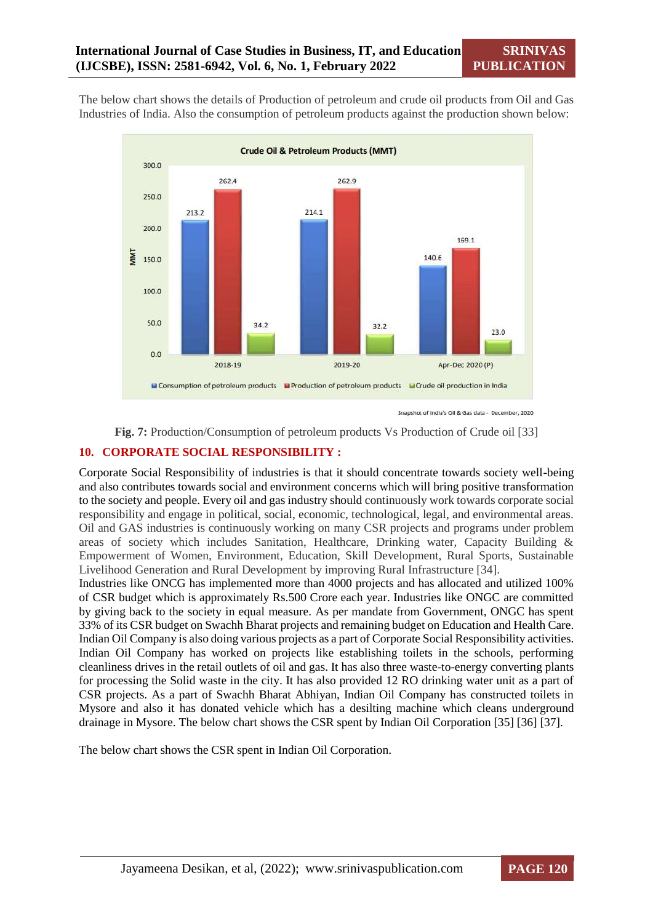The below chart shows the details of Production of petroleum and crude oil products from Oil and Gas Industries of India. Also the consumption of petroleum products against the production shown below:



Snapshot of India's Oil & Gas data - December, 2020

**Fig. 7:** Production/Consumption of petroleum products Vs Production of Crude oil [33]

#### **10. CORPORATE SOCIAL RESPONSIBILITY :**

Corporate Social Responsibility of industries is that it should concentrate towards society well-being and also contributes towards social and environment concerns which will bring positive transformation to the society and people. Every oil and gas industry should continuously work towards corporate social responsibility and engage in political, social, economic, technological, legal, and environmental areas. Oil and GAS industries is continuously working on many CSR projects and programs under problem areas of society which includes Sanitation, Healthcare, Drinking water, Capacity Building & Empowerment of Women, Environment, Education, Skill Development, Rural Sports, Sustainable Livelihood Generation and Rural Development by improving Rural Infrastructure [34].

Industries like ONCG has implemented more than 4000 projects and has allocated and utilized 100% of CSR budget which is approximately Rs.500 Crore each year. Industries like ONGC are committed by giving back to the society in equal measure. As per mandate from Government, ONGC has spent 33% of its CSR budget on Swachh Bharat projects and remaining budget on Education and Health Care. Indian Oil Company is also doing various projects as a part of Corporate Social Responsibility activities. Indian Oil Company has worked on projects like establishing toilets in the schools, performing cleanliness drives in the retail outlets of oil and gas. It has also three waste-to-energy converting plants for processing the Solid waste in the city. It has also provided 12 RO drinking water unit as a part of CSR projects. As a part of Swachh Bharat Abhiyan, Indian Oil Company has constructed toilets in Mysore and also it has donated vehicle which has a desilting machine which cleans underground drainage in Mysore. The below chart shows the CSR spent by Indian Oil Corporation [35] [36] [37].

The below chart shows the CSR spent in Indian Oil Corporation.

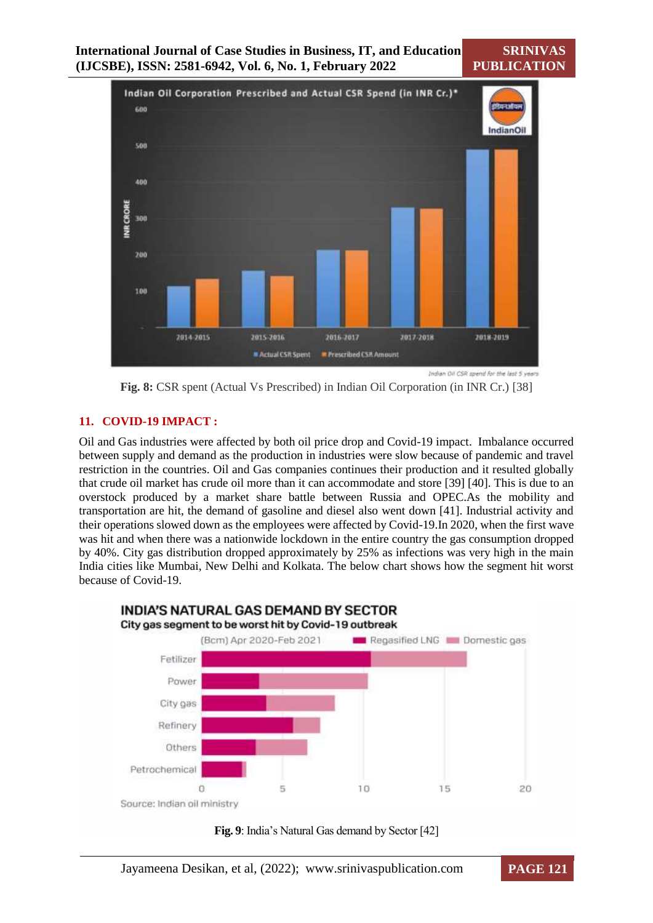**SRINIVAS PUBLICATION**



**Fig. 8:** CSR spent (Actual Vs Prescribed) in Indian Oil Corporation (in INR Cr.) [38]

## **11. COVID-19 IMPACT :**

Oil and Gas industries were affected by both oil price drop and Covid-19 impact. Imbalance occurred between supply and demand as the production in industries were slow because of pandemic and travel restriction in the countries. Oil and Gas companies continues their production and it resulted globally that crude oil market has crude oil more than it can accommodate and store [39] [40]. This is due to an overstock produced by a market share battle between Russia and OPEC.As the mobility and transportation are hit, the demand of gasoline and diesel also went down [41]. Industrial activity and their operations slowed down as the employees were affected by Covid-19.In 2020, when the first wave was hit and when there was a nationwide lockdown in the entire country the gas consumption dropped by 40%. City gas distribution dropped approximately by 25% as infections was very high in the main India cities like Mumbai, New Delhi and Kolkata. The below chart shows how the segment hit worst because of Covid-19.



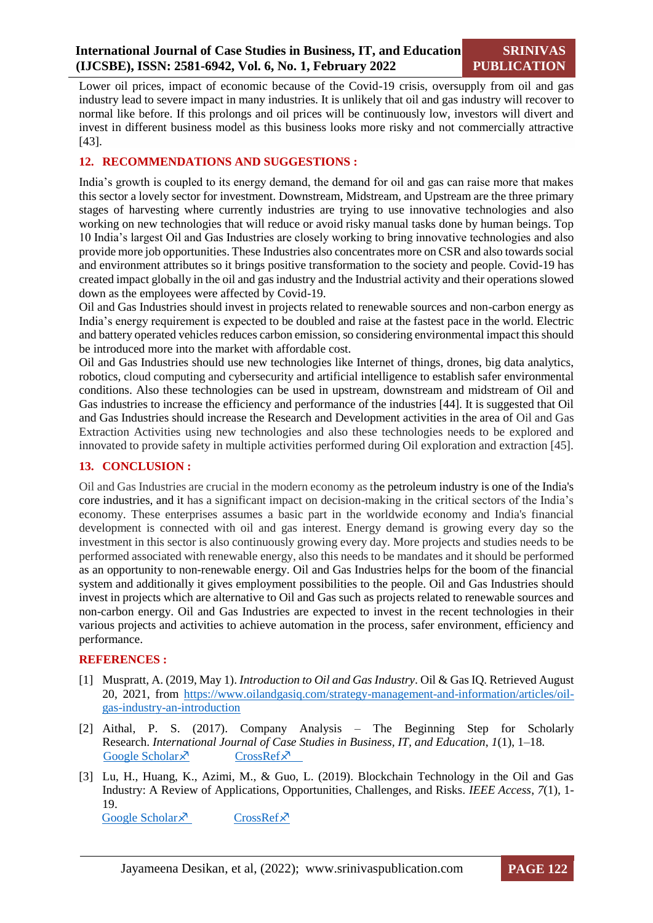Lower oil prices, impact of economic because of the Covid-19 crisis, oversupply from oil and gas industry lead to severe impact in many industries. It is unlikely that oil and gas industry will recover to normal like before. If this prolongs and oil prices will be continuously low, investors will divert and invest in different business model as this business looks more risky and not commercially attractive [43].

## **12. RECOMMENDATIONS AND SUGGESTIONS :**

India's growth is coupled to its energy demand, the demand for oil and gas can raise more that makes this sector a lovely sector for investment. Downstream, Midstream, and Upstream are the three primary stages of harvesting where currently industries are trying to use innovative technologies and also working on new technologies that will reduce or avoid risky manual tasks done by human beings. Top 10 India's largest Oil and Gas Industries are closely working to bring innovative technologies and also provide more job opportunities. These Industries also concentrates more on CSR and also towards social and environment attributes so it brings positive transformation to the society and people. Covid-19 has created impact globally in the oil and gas industry and the Industrial activity and their operations slowed down as the employees were affected by Covid-19.

Oil and Gas Industries should invest in projects related to renewable sources and non-carbon energy as India's energy requirement is expected to be doubled and raise at the fastest pace in the world. Electric and battery operated vehicles reduces carbon emission, so considering environmental impact this should be introduced more into the market with affordable cost.

Oil and Gas Industries should use new technologies like Internet of things, drones, big data analytics, robotics, cloud computing and cybersecurity and artificial intelligence to establish safer environmental conditions. Also these technologies can be used in upstream, downstream and midstream of Oil and Gas industries to increase the efficiency and performance of the industries [44]. It is suggested that Oil and Gas Industries should increase the Research and Development activities in the area of Oil and Gas Extraction Activities using new technologies and also these technologies needs to be explored and innovated to provide safety in multiple activities performed during Oil exploration and extraction [45].

#### **13. CONCLUSION :**

Oil and Gas Industries are crucial in the modern economy as the petroleum industry is one of the India's core industries, and it has a significant impact on decision-making in the critical sectors of the India's economy. These enterprises assumes a basic part in the worldwide economy and India's financial development is connected with oil and gas interest. Energy demand is growing every day so the investment in this sector is also continuously growing every day. More projects and studies needs to be performed associated with renewable energy, also this needs to be mandates and it should be performed as an opportunity to non-renewable energy. Oil and Gas Industries helps for the boom of the financial system and additionally it gives employment possibilities to the people. Oil and Gas Industries should invest in projects which are alternative to Oil and Gas such as projects related to renewable sources and non-carbon energy. Oil and Gas Industries are expected to invest in the recent technologies in their various projects and activities to achieve automation in the process, safer environment, efficiency and performance.

#### **REFERENCES :**

- [1] Muspratt, A. (2019, May 1). *Introduction to Oil and Gas Industry*. Oil & Gas IQ. Retrieved August 20, 2021, from [https://www.oilandgasiq.com/strategy-management-and-information/articles/oil](https://www.oilandgasiq.com/strategy-management-and-information/articles/oil-gas-industry-an-introduction)[gas-industry-an-introduction](https://www.oilandgasiq.com/strategy-management-and-information/articles/oil-gas-industry-an-introduction)
- [2] Aithal, P. S. (2017). Company Analysis The Beginning Step for Scholarly Research. *International Journal of Case Studies in Business, IT, and Education*, *1*(1), 1–18. [Google Scholar](https://papers.ssrn.com/sol3/papers.cfm?abstract_id=2966157)  $\times$  [CrossRef](https://doi.org/10.47992/ijcsbe.2581.6942.0002) $\times$
- [3] Lu, H., Huang, K., Azimi, M., & Guo, L. (2019). Blockchain Technology in the Oil and Gas Industry: A Review of Applications, Opportunities, Challenges, and Risks. *IEEE Access*, *7*(1), 1- 19.

[Google Scholar](https://ieeexplore.ieee.org/abstract/document/8675726)  $\times$  [CrossRef](https://doi.org/10.1109/access.2019.2907695) $\times$ 

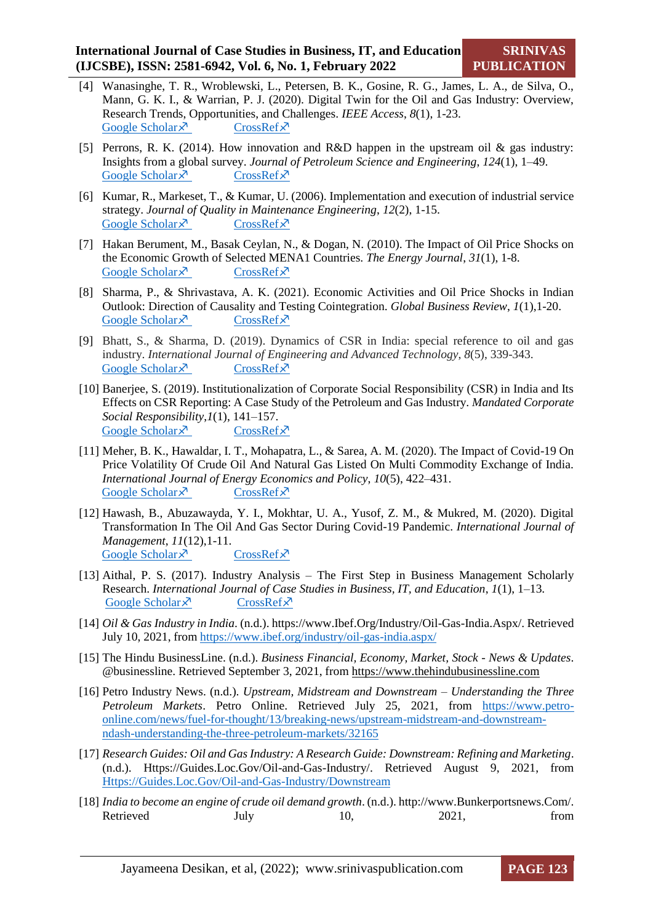- [4] Wanasinghe, T. R., Wroblewski, L., Petersen, B. K., Gosine, R. G., James, L. A., de Silva, O., Mann, G. K. I., & Warrian, P. J. (2020). Digital Twin for the Oil and Gas Industry: Overview, Research Trends, Opportunities, and Challenges. *IEEE Access*, *8*(1), 1-23. [Google Scholar](https://ieeexplore.ieee.org/abstract/document/9104682)  $\times$  [CrossRef](https://doi.org/10.1109/ACCESS.2020.2998723) $\times$
- [5] Perrons, R. K. (2014). How innovation and R&D happen in the upstream oil & gas industry: Insights from a global survey. *Journal of Petroleum Science and Engineering*, *124*(1), 1–49. [Google Scholar](https://www.sciencedirect.com/science/article/abs/pii/S0920410514003155?via%3Dihub)  $\times$  [CrossRef](https://doi.org/10.1016/j.petrol.2014.09.027) $\times$
- [6] Kumar, R., Markeset, T., & Kumar, U. (2006). Implementation and execution of industrial service strategy. *Journal of Quality in Maintenance Engineering*, *12*(2), 1-15. [Google Scholar](https://www.emerald.com/insight/content/doi/10.1108/13552510610667147/full/html)  $\lambda$  [CrossRef](https://doi.org/10.1108/13552510610667147)  $\lambda$
- [7] Hakan Berument, M., Basak Ceylan, N., & Dogan, N. (2010). The Impact of Oil Price Shocks on the Economic Growth of Selected MENA1 Countries. *The Energy Journal*, *31*(1), 1-8. [Google Scholar](https://www.iaee.org/en/Publications/ejarticle.aspx?id=2362)  $\times$  [CrossRef](https://doi.org/10.5547/issn0195-6574-ej-vol31-no1-7) $\times$
- [8] Sharma, P., & Shrivastava, A. K. (2021). Economic Activities and Oil Price Shocks in Indian Outlook: Direction of Causality and Testing Cointegration. *Global Business Review*, *1*(1),1-20. [Google Scholar](https://journals.sagepub.com/doi/abs/10.1177/0972150921990491)  $\times$  [CrossRef](https://doi.org/10.1177/0972150921990491) $\times$
- [9] Bhatt, S., & Sharma, D. (2019). Dynamics of CSR in India: special reference to oil and gas industry. *International Journal of Engineering and Advanced Technology*, *8*(5), 339-343.<br>Google Scholar  $\bar{x}$  CrossRef  $\bar{x}$ [Google Scholar](https://www.chdgroup.org/wp-content/uploads/2020/10/Oil-Gas-Industry-CSR-in-India.pdf) $\lambda$
- [10] Banerjee, S. (2019). Institutionalization of Corporate Social Responsibility (CSR) in India and Its Effects on CSR Reporting: A Case Study of the Petroleum and Gas Industry. *Mandated Corporate Social Responsibility*,*1*(1), 141–157. [Google Scholar](https://link.springer.com/chapter/10.1007/978-3-030-24444-6_8)  $\times$  [CrossRef](https://doi.org/10.1007/978-3-030-24444-6_8) $\times$
- [11] Meher, B. K., Hawaldar, I. T., Mohapatra, L., & Sarea, A. M. (2020). The Impact of Covid-19 On Price Volatility Of Crude Oil And Natural Gas Listed On Multi Commodity Exchange of India. *International Journal of Energy Economics and Policy*, *10*(5), 422–431. [Google Scholar](https://papers.ssrn.com/sol3/papers.cfm?abstract_id=3660383)  $\times$  [CrossRef](https://doi.org/10.32479/ijeep.10047) $\times$
- [12] Hawash, B., Abuzawayda, Y. I., Mokhtar, U. A., Yusof, Z. M., & Mukred, M. (2020). Digital Transformation In The Oil And Gas Sector During Covid-19 Pandemic. *International Journal of Management*, *11*(12),1-11. [Google Scholar](https://www.researchgate.net/profile/Burkan_Hawash/publication/347879214_Digital_Transformation_in_the_Oil_and_Gas_Sector_during_COVID-19_Pandemic/links/5fe606a145851553a0ecfd51/Digital-Transformation-in-the-Oil-and-Gas-Sector-during-COVID-19-Pandemic.pdf)  $\times$  [CrossRef](https://doi.org/10.34218/ijm.11.12.2020.067) $\times$
- [13] Aithal, P. S. (2017). Industry Analysis The First Step in Business Management Scholarly Research. *International Journal of Case Studies in Business, IT, and Education*, *1*(1), 1–13. [Google Scholar](https://papers.ssrn.com/sol3/papers.cfm?abstract_id=2988412)  $\times$  [CrossRef](https://doi.org/10.47992/ijcsbe.2581.6942.0021) $\times$
- [14] *Oil & Gas Industry in India*. (n.d.). https://www.Ibef.Org/Industry/Oil-Gas-India.Aspx/. Retrieved July 10, 2021, from<https://www.ibef.org/industry/oil-gas-india.aspx/>
- [15] The Hindu BusinessLine. (n.d.). *Business Financial, Economy, Market, Stock - News & Updates*. @businessline. Retrieved September 3, 2021, fro[m https://www.thehindubusinessline.com](https://www.thehindubusinessline.com/)
- [16] Petro Industry News. (n.d.). *Upstream, Midstream and Downstream – Understanding the Three Petroleum Markets*. Petro Online. Retrieved July 25, 2021, from [https://www.petro](https://www.petro-online.com/news/fuel-for-thought/13/breaking-news/upstream-midstream-and-downstream-ndash-understanding-the-three-petroleum-markets/32165)[online.com/news/fuel-for-thought/13/breaking-news/upstream-midstream-and-downstream](https://www.petro-online.com/news/fuel-for-thought/13/breaking-news/upstream-midstream-and-downstream-ndash-understanding-the-three-petroleum-markets/32165)[ndash-understanding-the-three-petroleum-markets/32165](https://www.petro-online.com/news/fuel-for-thought/13/breaking-news/upstream-midstream-and-downstream-ndash-understanding-the-three-petroleum-markets/32165)
- [17] *Research Guides: Oil and Gas Industry: A Research Guide: Downstream: Refining and Marketing*. (n.d.). Https://Guides.Loc.Gov/Oil-and-Gas-Industry/. Retrieved August 9, 2021, from [Https://Guides.Loc.Gov/Oil-and-Gas-Industry/Downstream](https://guides.loc.gov/Oil-and-Gas-Industry/Downstream)
- [18] *India to become an engine of crude oil demand growth*. (n.d.). http://www.Bunkerportsnews.Com/. Retrieved July 10, 2021, from

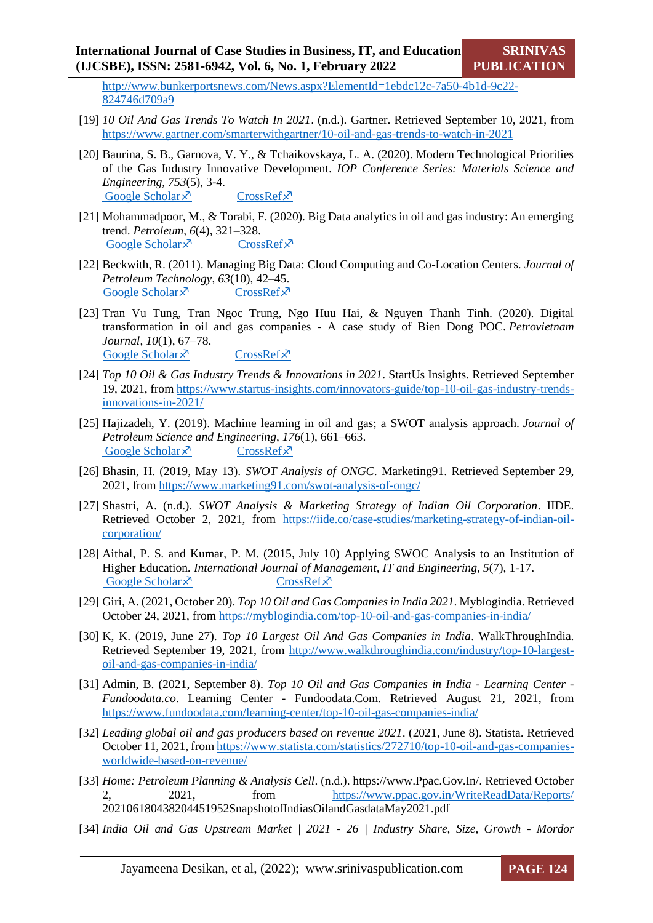[http://www.bunkerportsnews.com/News.aspx?ElementId=1ebdc12c-7a50-4b1d-9c22-](http://www.bunkerportsnews.com/News.aspx?ElementId=1ebdc12c-7a50-4b1d-9c22-824746d709a9) [824746d709a9](http://www.bunkerportsnews.com/News.aspx?ElementId=1ebdc12c-7a50-4b1d-9c22-824746d709a9)

- [19] *10 Oil And Gas Trends To Watch In 2021*. (n.d.). Gartner. Retrieved September 10, 2021, from <https://www.gartner.com/smarterwithgartner/10-oil-and-gas-trends-to-watch-in-2021>
- [20] Baurina, S. B., Garnova, V. Y., & Tchaikovskaya, L. A. (2020). Modern Technological Priorities of the Gas Industry Innovative Development. *IOP Conference Series: Materials Science and Engineering*, *753*(5), 3-4. [Google Scholar](https://iopscience.iop.org/article/10.1088/1757-899X/753/5/052069)  $\times$  [CrossRef](https://doi.org/10.1088/1757-899x/753/5/052069) $\times$
- [21] Mohammadpoor, M., & Torabi, F. (2020). Big Data analytics in oil and gas industry: An emerging trend. *Petroleum*, *6*(4), 321–328. [Google Scholar](https://www.sciencedirect.com/science/article/pii/S2405656118301421?via%3Dihub)  $\times$  [CrossRef](https://doi.org/10.1016/j.petlm.2018.11.001) $\times$
- [22] Beckwith, R. (2011). Managing Big Data: Cloud Computing and Co-Location Centers. *Journal of Petroleum Technology*, *63*(10), 42–45. [Google Scholar](https://onepetro.org/JPT/article-abstract/63/10/42/200016/Managing-Big-Data-Cloud-Computing-and-Co-Location?redirectedFrom=fulltext)  $\times$  [CrossRef](https://doi.org/10.2118/1011-0042-jpt) $\times$
- [23] Tran Vu Tung, Tran Ngoc Trung, Ngo Huu Hai, & Nguyen Thanh Tinh. (2020). Digital transformation in oil and gas companies - A case study of Bien Dong POC. *Petrovietnam Journal*, *10*(1), 67–78. Google Scholar  $\times$  [CrossRef](https://doi.org/10.47800/PVJ.2020.10-07) $\times$
- [24] *Top 10 Oil & Gas Industry Trends & Innovations in 2021*. StartUs Insights. Retrieved September 19, 2021, from [https://www.startus-insights.com/innovators-guide/top-10-oil-gas-industry-trends](https://www.startus-insights.com/innovators-guide/top-10-oil-gas-industry-trends-innovations-in-2021/)[innovations-in-2021/](https://www.startus-insights.com/innovators-guide/top-10-oil-gas-industry-trends-innovations-in-2021/)
- [25] Hajizadeh, Y. (2019). Machine learning in oil and gas; a SWOT analysis approach. *Journal of Petroleum Science and Engineering*, *176*(1), 661–663. [Google Scholar](https://www.sciencedirect.com/science/article/abs/pii/S0920410519301275)  $\times$  [CrossRef](https://doi.org/10.1016/j.petrol.2019.01.113) $\times$
- [26] Bhasin, H. (2019, May 13). *SWOT Analysis of ONGC*. Marketing91. Retrieved September 29, 2021, from<https://www.marketing91.com/swot-analysis-of-ongc/>
- [27] Shastri, A. (n.d.). *SWOT Analysis & Marketing Strategy of Indian Oil Corporation*. IIDE. Retrieved October 2, 2021, from [https://iide.co/case-studies/marketing-strategy-of-indian-oil](https://iide.co/case-studies/marketing-strategy-of-indian-oil-corporation/)[corporation/](https://iide.co/case-studies/marketing-strategy-of-indian-oil-corporation/)
- [28] Aithal, P. S. and Kumar, P. M. (2015, July 10) Applying SWOC Analysis to an Institution of Higher Education*. International Journal of Management, IT and Engineering*, *5*(7), 1-17. [Google Scholar](https://papers.ssrn.com/sol3/papers.cfm?abstract_id=2779000)  $\times$  [CrossRef](https://ssrn.com/abstract=2779000) $\times$
- [29] Giri, A. (2021, October 20). *Top 10 Oil and Gas Companies in India 2021*. Myblogindia. Retrieved October 24, 2021, fro[m https://myblogindia.com/top-10-oil-and-gas-companies-in-india/](https://myblogindia.com/top-10-oil-and-gas-companies-in-india/)
- [30] K, K. (2019, June 27). *Top 10 Largest Oil And Gas Companies in India*. WalkThroughIndia. Retrieved September 19, 2021, from [http://www.walkthroughindia.com/industry/top-10-largest](http://www.walkthroughindia.com/industry/top-10-largest-oil-and-gas-companies-in-india/)[oil-and-gas-companies-in-india/](http://www.walkthroughindia.com/industry/top-10-largest-oil-and-gas-companies-in-india/)
- [31] Admin, B. (2021, September 8). *Top 10 Oil and Gas Companies in India - Learning Center - Fundoodata.co*. Learning Center - Fundoodata.Com. Retrieved August 21, 2021, from <https://www.fundoodata.com/learning-center/top-10-oil-gas-companies-india/>
- [32] *Leading global oil and gas producers based on revenue 2021*. (2021, June 8). Statista. Retrieved October 11, 2021, fro[m https://www.statista.com/statistics/272710/top-10-oil-and-gas-companies](https://www.statista.com/statistics/272710/top-10-oil-and-gas-companies-worldwide-based-on-revenue/)[worldwide-based-on-revenue/](https://www.statista.com/statistics/272710/top-10-oil-and-gas-companies-worldwide-based-on-revenue/)
- [33] *Home: Petroleum Planning & Analysis Cell*. (n.d.). https://www.Ppac.Gov.In/. Retrieved October 2, 2021, from <https://www.ppac.gov.in/WriteReadData/Reports/> 202106180438204451952SnapshotofIndiasOilandGasdataMay2021.pdf
- [34] *India Oil and Gas Upstream Market | 2021 - 26 | Industry Share, Size, Growth - Mordor*